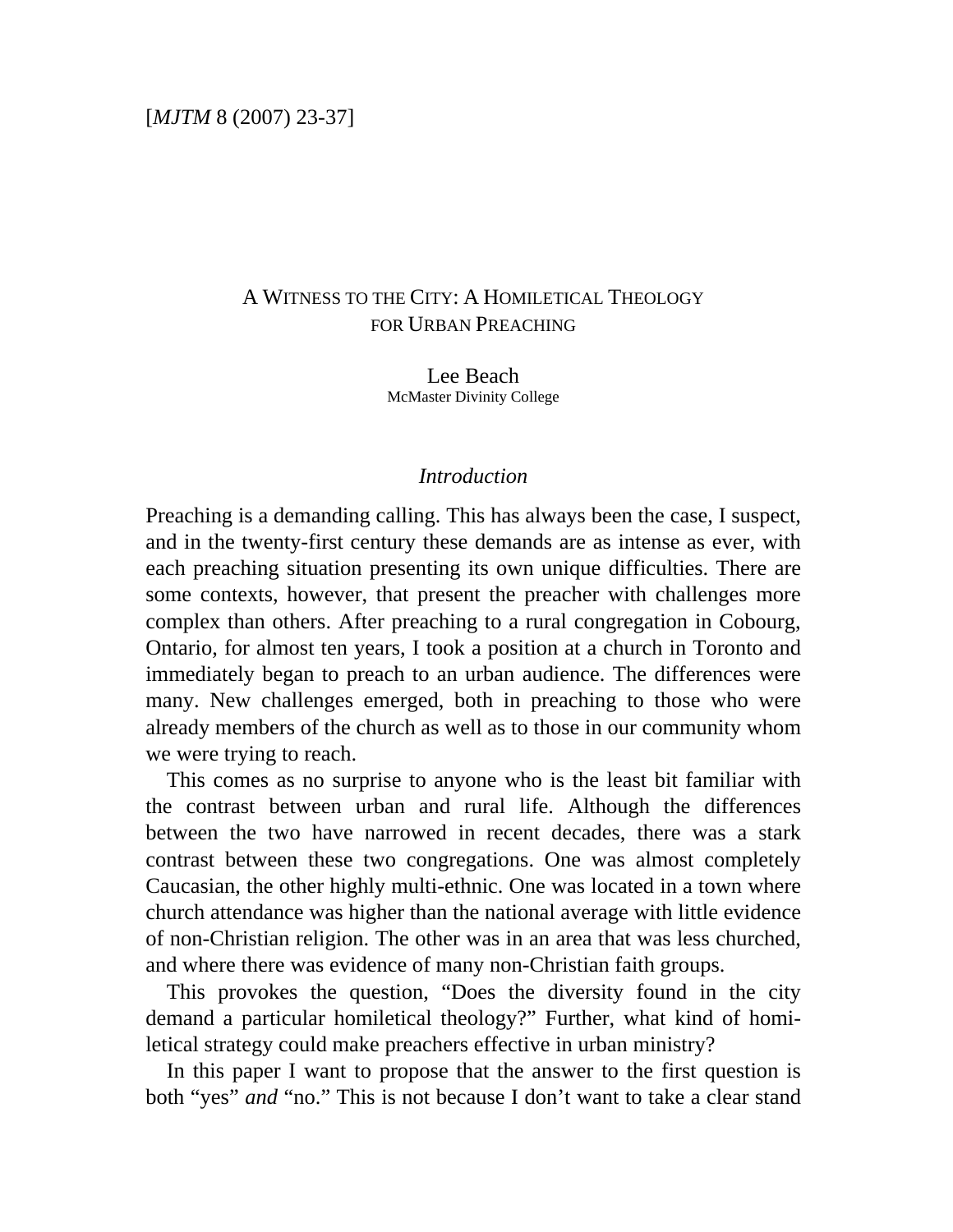# A WITNESS TO THE CITY: A HOMILETICAL THEOLOGY FOR URBAN PREACHING

Lee Beach McMaster Divinity College

## *Introduction*

Preaching is a demanding calling. This has always been the case, I suspect, and in the twenty-first century these demands are as intense as ever, with each preaching situation presenting its own unique difficulties. There are some contexts, however, that present the preacher with challenges more complex than others. After preaching to a rural congregation in Cobourg, Ontario, for almost ten years, I took a position at a church in Toronto and immediately began to preach to an urban audience. The differences were many. New challenges emerged, both in preaching to those who were already members of the church as well as to those in our community whom we were trying to reach.

 This comes as no surprise to anyone who is the least bit familiar with the contrast between urban and rural life. Although the differences between the two have narrowed in recent decades, there was a stark contrast between these two congregations. One was almost completely Caucasian, the other highly multi-ethnic. One was located in a town where church attendance was higher than the national average with little evidence of non-Christian religion. The other was in an area that was less churched, and where there was evidence of many non-Christian faith groups.

 This provokes the question, "Does the diversity found in the city demand a particular homiletical theology?" Further, what kind of homiletical strategy could make preachers effective in urban ministry?

 In this paper I want to propose that the answer to the first question is both "yes" *and* "no." This is not because I don't want to take a clear stand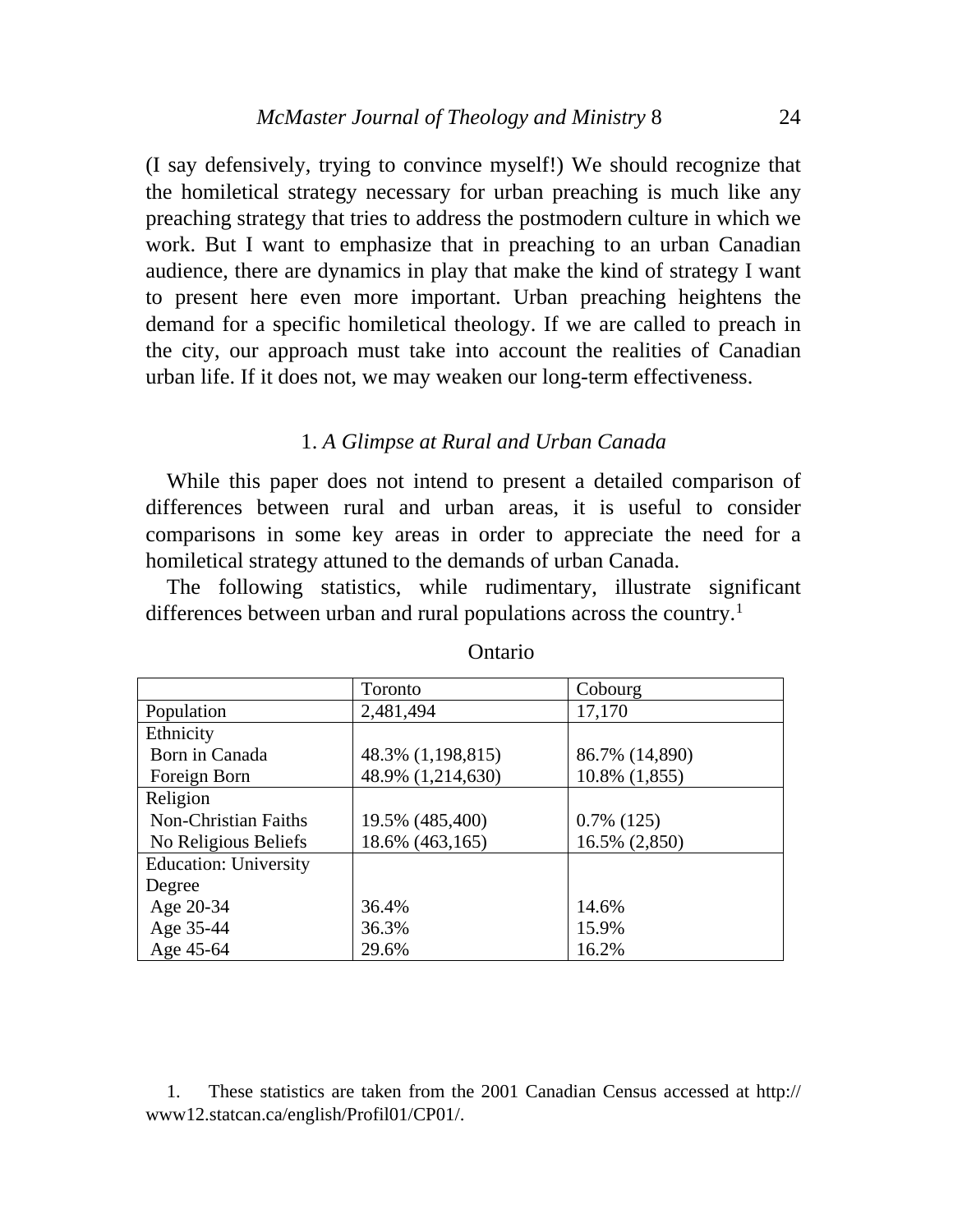(I say defensively, trying to convince myself!) We should recognize that the homiletical strategy necessary for urban preaching is much like any preaching strategy that tries to address the postmodern culture in which we work. But I want to emphasize that in preaching to an urban Canadian audience, there are dynamics in play that make the kind of strategy I want to present here even more important. Urban preaching heightens the demand for a specific homiletical theology. If we are called to preach in the city, our approach must take into account the realities of Canadian urban life. If it does not, we may weaken our long-term effectiveness.

#### 1. *A Glimpse at Rural and Urban Canada*

 While this paper does not intend to present a detailed comparison of differences between rural and urban areas, it is useful to consider comparisons in some key areas in order to appreciate the need for a homiletical strategy attuned to the demands of urban Canada.

 The following statistics, while rudimentary, illustrate significant differences between urban and rural populations across the country.<sup>[1](#page-1-0)</sup>

|                              | Toronto           | Cobourg        |
|------------------------------|-------------------|----------------|
| Population                   | 2,481,494         | 17,170         |
| Ethnicity                    |                   |                |
| Born in Canada               | 48.3% (1,198,815) | 86.7% (14,890) |
| Foreign Born                 | 48.9% (1,214,630) | 10.8% (1,855)  |
| Religion                     |                   |                |
| <b>Non-Christian Faiths</b>  | 19.5% (485,400)   | $0.7\%$ (125)  |
| No Religious Beliefs         | 18.6% (463,165)   | 16.5% (2,850)  |
| <b>Education: University</b> |                   |                |
| Degree                       |                   |                |
| Age 20-34                    | 36.4%             | 14.6%          |
| Age 35-44                    | 36.3%             | 15.9%          |
| Age 45-64                    | 29.6%             | 16.2%          |

#### Ontario

<span id="page-1-0"></span> 1. These statistics are taken from the 2001 Canadian Census accessed at http:// www12.statcan.ca/english/Profil01/CP01/.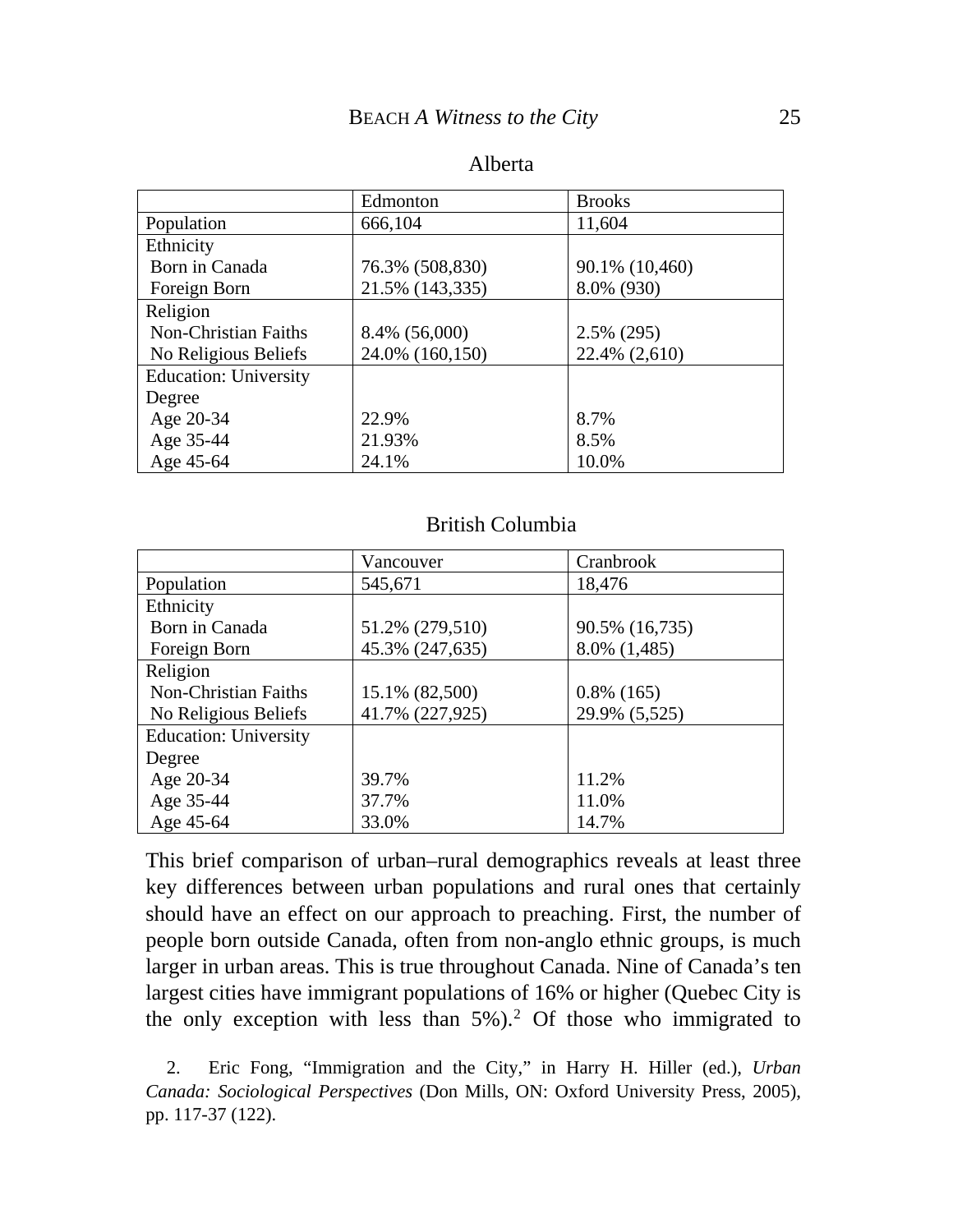|                              | Edmonton        | <b>Brooks</b>  |
|------------------------------|-----------------|----------------|
| Population                   | 666,104         | 11,604         |
| Ethnicity                    |                 |                |
| Born in Canada               | 76.3% (508,830) | 90.1% (10,460) |
| Foreign Born                 | 21.5% (143,335) | 8.0% (930)     |
| Religion                     |                 |                |
| <b>Non-Christian Faiths</b>  | 8.4% (56,000)   | 2.5% (295)     |
| No Religious Beliefs         | 24.0% (160,150) | 22.4% (2,610)  |
| <b>Education: University</b> |                 |                |
| Degree                       |                 |                |
| Age 20-34                    | 22.9%           | 8.7%           |
| Age 35-44                    | 21.93%          | 8.5%           |
| Age 45-64                    | 24.1%           | 10.0%          |

### British Columbia

|                              | Vancouver       | Cranbrook      |
|------------------------------|-----------------|----------------|
| Population                   | 545,671         | 18,476         |
| Ethnicity                    |                 |                |
| Born in Canada               | 51.2% (279,510) | 90.5% (16,735) |
| Foreign Born                 | 45.3% (247,635) | 8.0% (1,485)   |
| Religion                     |                 |                |
| Non-Christian Faiths         | 15.1% (82,500)  | $0.8\%$ (165)  |
| No Religious Beliefs         | 41.7% (227,925) | 29.9% (5,525)  |
| <b>Education: University</b> |                 |                |
| Degree                       |                 |                |
| Age 20-34                    | 39.7%           | 11.2%          |
| Age 35-44                    | 37.7%           | 11.0%          |
| Age 45-64                    | 33.0%           | 14.7%          |

This brief comparison of urban–rural demographics reveals at least three key differences between urban populations and rural ones that certainly should have an effect on our approach to preaching. First, the number of people born outside Canada, often from non-anglo ethnic groups, is much larger in urban areas. This is true throughout Canada. Nine of Canada's ten largest cities have immigrant populations of 16% or higher (Quebec City is the only exception with less than  $5\%$ ).<sup>[2](#page-2-0)</sup> Of those who immigrated to

<span id="page-2-0"></span> 2. Eric Fong, "Immigration and the City," in Harry H. Hiller (ed.), *Urban Canada: Sociological Perspectives* (Don Mills, ON: Oxford University Press, 2005), pp. 117-37 (122).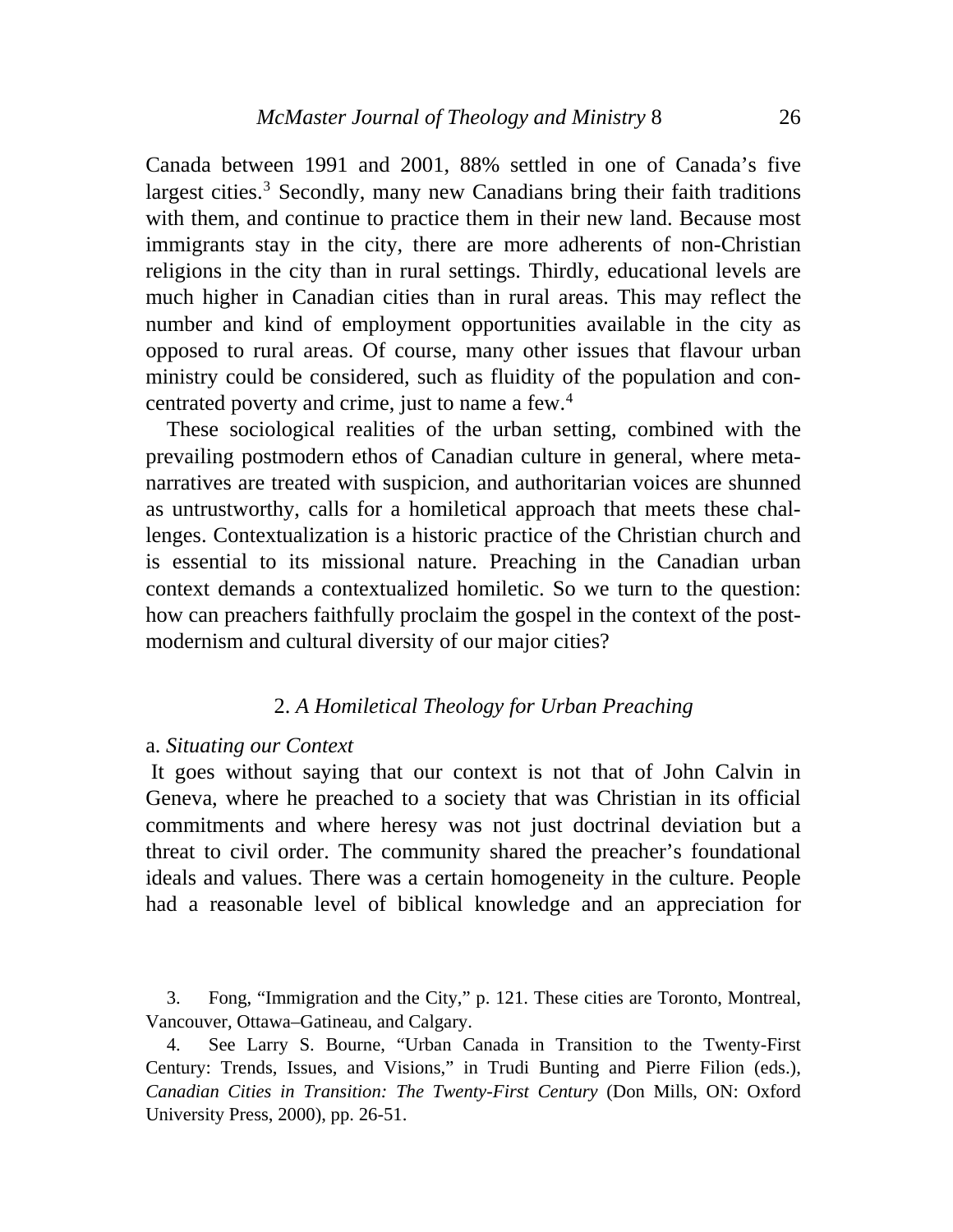Canada between 1991 and 2001, 88% settled in one of Canada's five largest cities.<sup>[3](#page-3-0)</sup> Secondly, many new Canadians bring their faith traditions with them, and continue to practice them in their new land. Because most immigrants stay in the city, there are more adherents of non-Christian religions in the city than in rural settings. Thirdly, educational levels are much higher in Canadian cities than in rural areas. This may reflect the number and kind of employment opportunities available in the city as opposed to rural areas. Of course, many other issues that flavour urban ministry could be considered, such as fluidity of the population and con-centrated poverty and crime, just to name a few.<sup>[4](#page-3-1)</sup>

 These sociological realities of the urban setting, combined with the prevailing postmodern ethos of Canadian culture in general, where metanarratives are treated with suspicion, and authoritarian voices are shunned as untrustworthy, calls for a homiletical approach that meets these challenges. Contextualization is a historic practice of the Christian church and is essential to its missional nature. Preaching in the Canadian urban context demands a contextualized homiletic. So we turn to the question: how can preachers faithfully proclaim the gospel in the context of the postmodernism and cultural diversity of our major cities?

#### 2. *A Homiletical Theology for Urban Preaching*

#### a. *Situating our Context*

 It goes without saying that our context is not that of John Calvin in Geneva, where he preached to a society that was Christian in its official commitments and where heresy was not just doctrinal deviation but a threat to civil order. The community shared the preacher's foundational ideals and values. There was a certain homogeneity in the culture. People had a reasonable level of biblical knowledge and an appreciation for

<span id="page-3-0"></span> 3. Fong, "Immigration and the City," p. 121. These cities are Toronto, Montreal, Vancouver, Ottawa–Gatineau, and Calgary.

<span id="page-3-1"></span> 4. See Larry S. Bourne, "Urban Canada in Transition to the Twenty-First Century: Trends, Issues, and Visions," in Trudi Bunting and Pierre Filion (eds.), *Canadian Cities in Transition: The Twenty-First Century* (Don Mills, ON: Oxford University Press, 2000), pp. 26-51.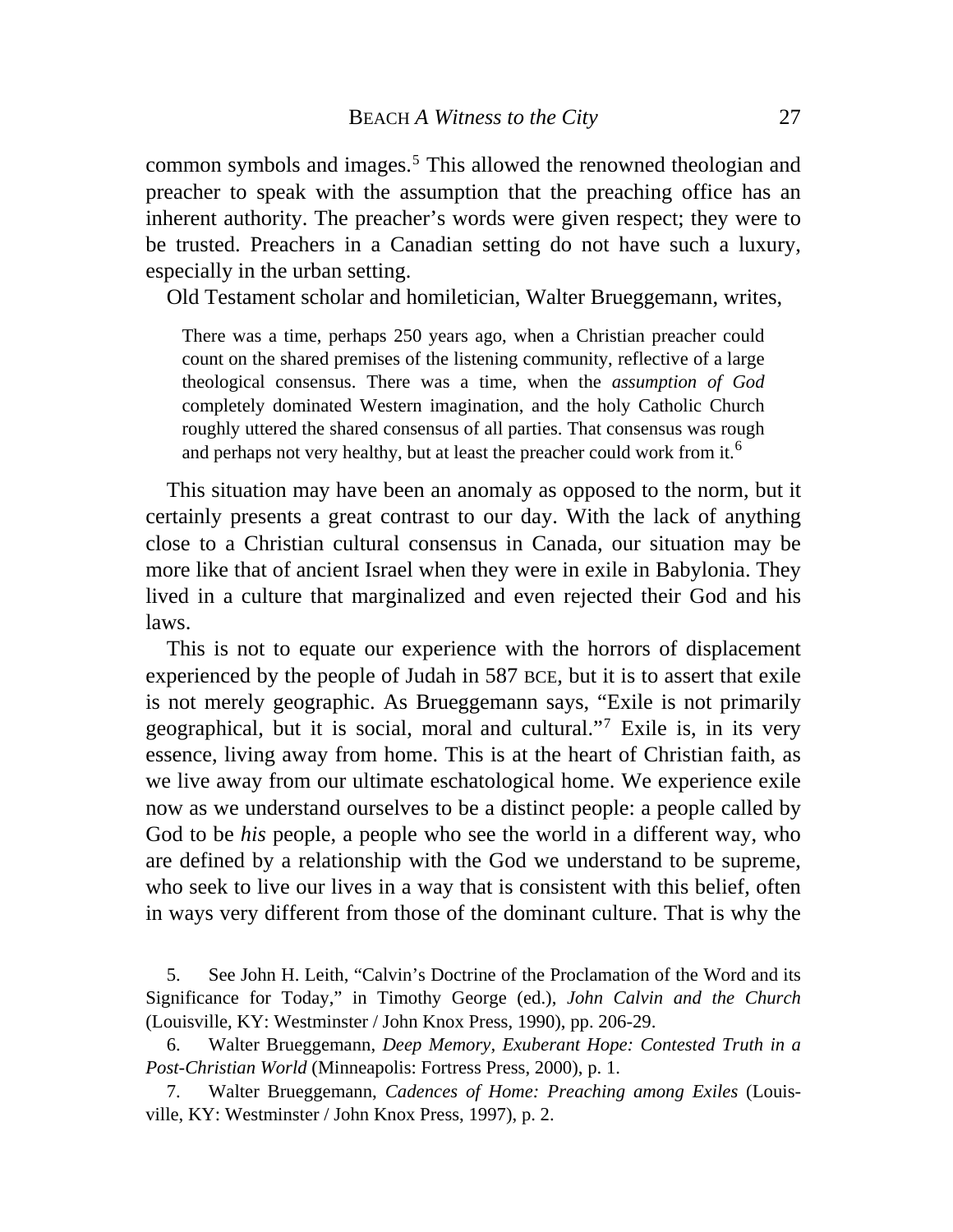common symbols and images.<sup>[5](#page-4-0)</sup> This allowed the renowned theologian and preacher to speak with the assumption that the preaching office has an inherent authority. The preacher's words were given respect; they were to be trusted. Preachers in a Canadian setting do not have such a luxury, especially in the urban setting.

Old Testament scholar and homiletician, Walter Brueggemann, writes,

There was a time, perhaps 250 years ago, when a Christian preacher could count on the shared premises of the listening community, reflective of a large theological consensus. There was a time, when the *assumption of God* completely dominated Western imagination, and the holy Catholic Church roughly uttered the shared consensus of all parties. That consensus was rough and perhaps not very healthy, but at least the preacher could work from it.<sup>[6](#page-4-1)</sup>

 This situation may have been an anomaly as opposed to the norm, but it certainly presents a great contrast to our day. With the lack of anything close to a Christian cultural consensus in Canada, our situation may be more like that of ancient Israel when they were in exile in Babylonia. They lived in a culture that marginalized and even rejected their God and his laws.

 This is not to equate our experience with the horrors of displacement experienced by the people of Judah in 587 BCE, but it is to assert that exile is not merely geographic. As Brueggemann says, "Exile is not primarily geographical, but it is social, moral and cultural."[7](#page-4-2) Exile is, in its very essence, living away from home. This is at the heart of Christian faith, as we live away from our ultimate eschatological home. We experience exile now as we understand ourselves to be a distinct people: a people called by God to be *his* people, a people who see the world in a different way, who are defined by a relationship with the God we understand to be supreme, who seek to live our lives in a way that is consistent with this belief, often in ways very different from those of the dominant culture. That is why the

<span id="page-4-0"></span> 5. See John H. Leith, "Calvin's Doctrine of the Proclamation of the Word and its Significance for Today," in Timothy George (ed.), *John Calvin and the Church*  (Louisville, KY: Westminster / John Knox Press, 1990), pp. 206-29.

<span id="page-4-1"></span> 6. Walter Brueggemann, *Deep Memory, Exuberant Hope: Contested Truth in a Post-Christian World* (Minneapolis: Fortress Press, 2000), p. 1.

<span id="page-4-2"></span> 7. Walter Brueggemann, *Cadences of Home: Preaching among Exiles* (Louisville, KY: Westminster / John Knox Press, 1997), p. 2.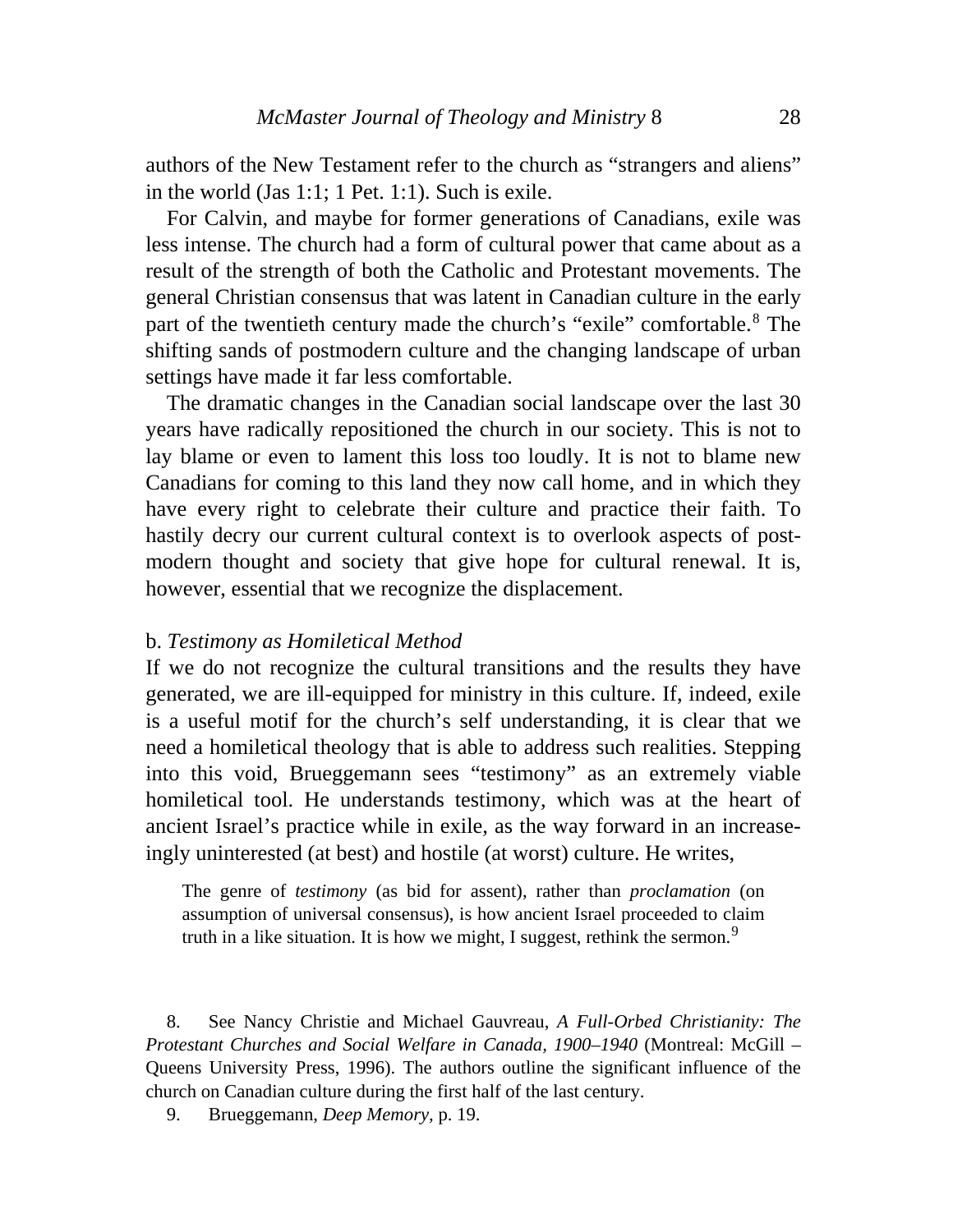authors of the New Testament refer to the church as "strangers and aliens" in the world (Jas 1:1; 1 Pet. 1:1). Such is exile.

 For Calvin, and maybe for former generations of Canadians, exile was less intense. The church had a form of cultural power that came about as a result of the strength of both the Catholic and Protestant movements. The general Christian consensus that was latent in Canadian culture in the early part of the twentieth century made the church's "exile" comfortable.[8](#page-5-0) The shifting sands of postmodern culture and the changing landscape of urban settings have made it far less comfortable.

 The dramatic changes in the Canadian social landscape over the last 30 years have radically repositioned the church in our society. This is not to lay blame or even to lament this loss too loudly. It is not to blame new Canadians for coming to this land they now call home, and in which they have every right to celebrate their culture and practice their faith. To hastily decry our current cultural context is to overlook aspects of postmodern thought and society that give hope for cultural renewal. It is, however, essential that we recognize the displacement.

#### b. *Testimony as Homiletical Method*

If we do not recognize the cultural transitions and the results they have generated, we are ill-equipped for ministry in this culture. If, indeed, exile is a useful motif for the church's self understanding, it is clear that we need a homiletical theology that is able to address such realities. Stepping into this void, Brueggemann sees "testimony" as an extremely viable homiletical tool. He understands testimony, which was at the heart of ancient Israel's practice while in exile, as the way forward in an increaseingly uninterested (at best) and hostile (at worst) culture. He writes,

The genre of *testimony* (as bid for assent), rather than *proclamation* (on assumption of universal consensus), is how ancient Israel proceeded to claim truth in a like situation. It is how we might, I suggest, rethink the sermon.<sup>[9](#page-5-1)</sup>

<span id="page-5-0"></span> 8. See Nancy Christie and Michael Gauvreau, *A Full-Orbed Christianity: The Protestant Churches and Social Welfare in Canada, 1900–1940* (Montreal: McGill – Queens University Press, 1996). The authors outline the significant influence of the church on Canadian culture during the first half of the last century.

<span id="page-5-1"></span>9. Brueggemann, *Deep Memory,* p. 19.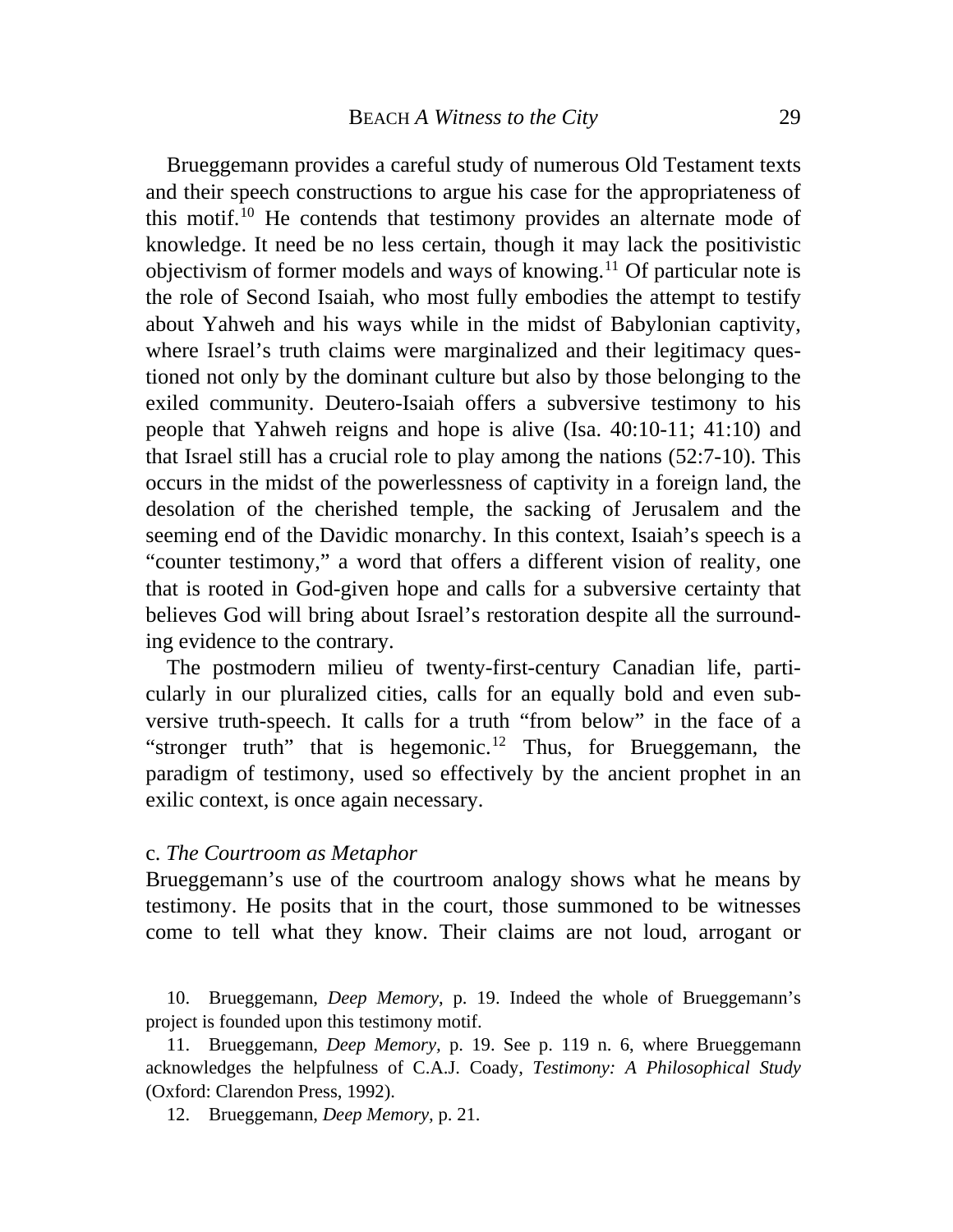Brueggemann provides a careful study of numerous Old Testament texts and their speech constructions to argue his case for the appropriateness of this motif.[10](#page-6-0) He contends that testimony provides an alternate mode of knowledge. It need be no less certain, though it may lack the positivistic objectivism of former models and ways of knowing.<sup>[11](#page-6-1)</sup> Of particular note is the role of Second Isaiah, who most fully embodies the attempt to testify about Yahweh and his ways while in the midst of Babylonian captivity, where Israel's truth claims were marginalized and their legitimacy questioned not only by the dominant culture but also by those belonging to the exiled community. Deutero-Isaiah offers a subversive testimony to his people that Yahweh reigns and hope is alive (Isa. 40:10-11; 41:10) and that Israel still has a crucial role to play among the nations (52:7-10). This occurs in the midst of the powerlessness of captivity in a foreign land, the desolation of the cherished temple, the sacking of Jerusalem and the seeming end of the Davidic monarchy. In this context, Isaiah's speech is a "counter testimony," a word that offers a different vision of reality, one that is rooted in God-given hope and calls for a subversive certainty that believes God will bring about Israel's restoration despite all the surrounding evidence to the contrary.

exilic context, is once again necessary. The postmodern milieu of twenty-first-century Canadian life, particularly in our pluralized cities, calls for an equally bold and even subversive truth-speech. It calls for a truth "from below" in the face of a "stronger truth" that is hegemonic.<sup>[12](#page-6-2)</sup> Thus, for Brueggemann, the paradigm of testimony, used so effectively by the ancient prophet in an

#### c. *The Courtroom as Metaphor*

Brueggemann's use of the courtroom analogy shows what he means by testimony. He posits that in the court, those summoned to be witnesses come to tell what they know. Their claims are not loud, arrogant or

<span id="page-6-0"></span> 10. Brueggemann, *Deep Memory*, p. 19. Indeed the whole of Brueggemann's project is founded upon this testimony motif.

<span id="page-6-2"></span><span id="page-6-1"></span> 11. Brueggemann, *Deep Memory,* p. 19. See p. 119 n. 6, where Brueggemann acknowledges the helpfulness of C.A.J. Coady, *Testimony: A Philosophical Study* (Oxford: Clarendon Press, 1992).

12. Brueggemann, *Deep Memory,* p. 21.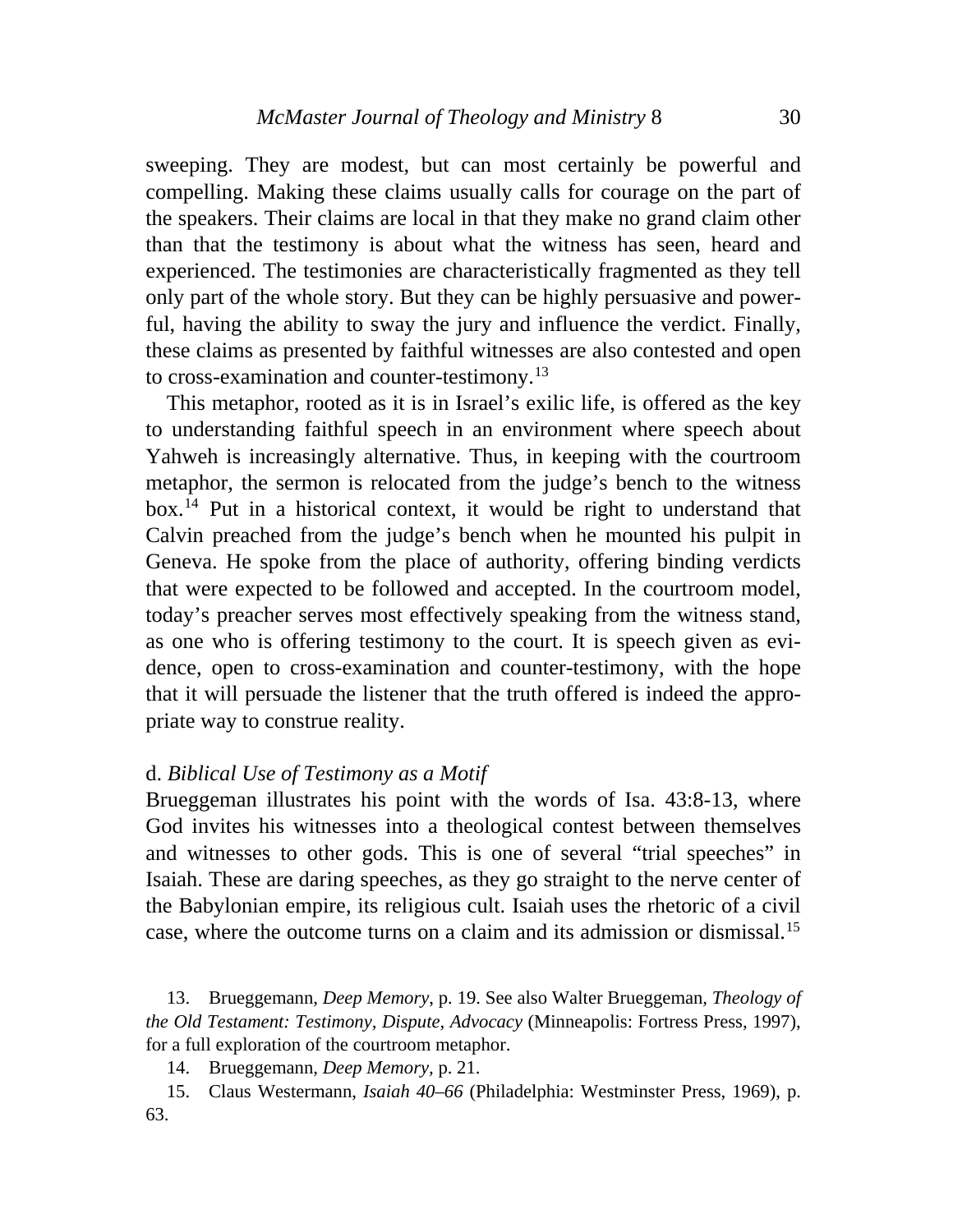sweeping. They are modest, but can most certainly be powerful and compelling. Making these claims usually calls for courage on the part of the speakers. Their claims are local in that they make no grand claim other than that the testimony is about what the witness has seen, heard and experienced. The testimonies are characteristically fragmented as they tell only part of the whole story. But they can be highly persuasive and powerful, having the ability to sway the jury and influence the verdict. Finally, these claims as presented by faithful witnesses are also contested and open to cross-examination and counter-testimony.<sup>[13](#page-7-0)</sup>

 This metaphor, rooted as it is in Israel's exilic life, is offered as the key to understanding faithful speech in an environment where speech about Yahweh is increasingly alternative. Thus, in keeping with the courtroom metaphor, the sermon is relocated from the judge's bench to the witness box.[14](#page-7-1) Put in a historical context, it would be right to understand that Calvin preached from the judge's bench when he mounted his pulpit in Geneva. He spoke from the place of authority, offering binding verdicts that were expected to be followed and accepted. In the courtroom model, today's preacher serves most effectively speaking from the witness stand, as one who is offering testimony to the court. It is speech given as evidence, open to cross-examination and counter-testimony, with the hope that it will persuade the listener that the truth offered is indeed the appropriate way to construe reality.

### d. *Biblical Use of Testimony as a Motif*

Brueggeman illustrates his point with the words of Isa. 43:8-13, where God invites his witnesses into a theological contest between themselves and witnesses to other gods. This is one of several "trial speeches" in Isaiah. These are daring speeches, as they go straight to the nerve center of the Babylonian empire, its religious cult. Isaiah uses the rhetoric of a civil case, where the outcome turns on a claim and its admission or dismissal.[15](#page-7-2)

<span id="page-7-0"></span> 13. Brueggemann, *Deep Memory*, p. 19. See also Walter Brueggeman*, Theology of the Old Testament: Testimony, Dispute, Advocacy* (Minneapolis: Fortress Press, 1997), for a full exploration of the courtroom metaphor.

14. Brueggemann, *Deep Memory,* p. 21.

<span id="page-7-2"></span><span id="page-7-1"></span> 15. Claus Westermann, *Isaiah 40–66* (Philadelphia: Westminster Press, 1969), p. 63.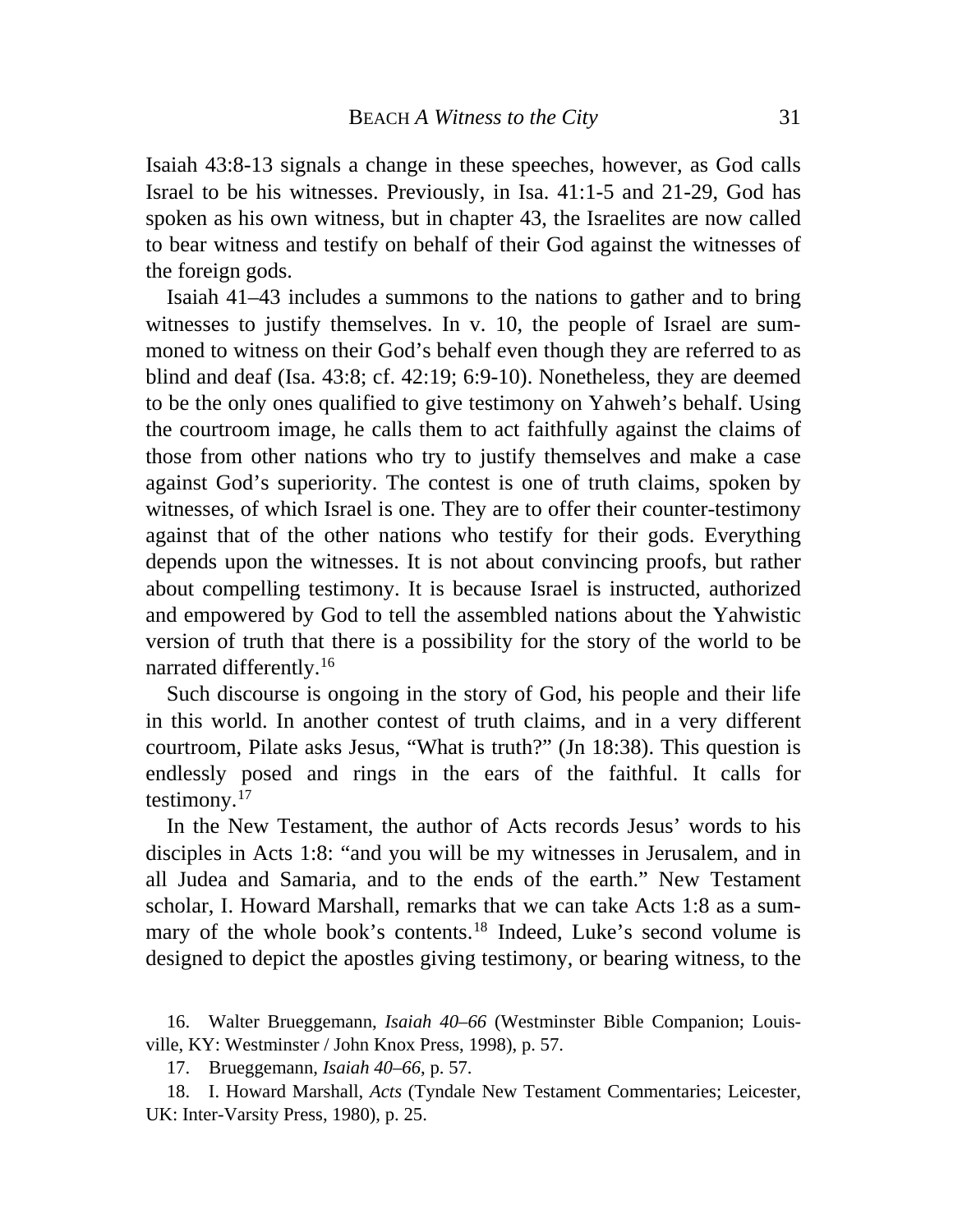Isaiah 43:8-13 signals a change in these speeches, however, as God calls Israel to be his witnesses. Previously, in Isa. 41:1-5 and 21-29, God has spoken as his own witness, but in chapter 43, the Israelites are now called to bear witness and testify on behalf of their God against the witnesses of the foreign gods.

 Isaiah 41–43 includes a summons to the nations to gather and to bring witnesses to justify themselves. In v. 10, the people of Israel are summoned to witness on their God's behalf even though they are referred to as blind and deaf (Isa. 43:8; cf. 42:19; 6:9-10). Nonetheless, they are deemed to be the only ones qualified to give testimony on Yahweh's behalf. Using the courtroom image, he calls them to act faithfully against the claims of those from other nations who try to justify themselves and make a case against God's superiority. The contest is one of truth claims, spoken by witnesses, of which Israel is one. They are to offer their counter-testimony against that of the other nations who testify for their gods. Everything depends upon the witnesses. It is not about convincing proofs, but rather about compelling testimony. It is because Israel is instructed, authorized and empowered by God to tell the assembled nations about the Yahwistic version of truth that there is a possibility for the story of the world to be narrated differently.[16](#page-8-0)

 Such discourse is ongoing in the story of God, his people and their life in this world. In another contest of truth claims, and in a very different courtroom, Pilate asks Jesus, "What is truth?" (Jn 18:38). This question is endlessly posed and rings in the ears of the faithful. It calls for testimony. $17$ 

 In the New Testament, the author of Acts records Jesus' words to his disciples in Acts 1:8: "and you will be my witnesses in Jerusalem, and in all Judea and Samaria, and to the ends of the earth." New Testament scholar, I. Howard Marshall, remarks that we can take Acts 1:8 as a sum-mary of the whole book's contents.<sup>[18](#page-9-0)</sup> Indeed, Luke's second volume is designed to depict the apostles giving testimony, or bearing witness, to the

<span id="page-8-0"></span> 16. Walter Brueggemann, *Isaiah 40–66* (Westminster Bible Companion; Louisville, KY: Westminster / John Knox Press, 1998), p. 57.

17. Brueggemann, *Isaiah 40–66*, p. 57.

<span id="page-8-1"></span> 18. I. Howard Marshall, *Acts* (Tyndale New Testament Commentaries; Leicester, UK: Inter-Varsity Press, 1980), p. 25.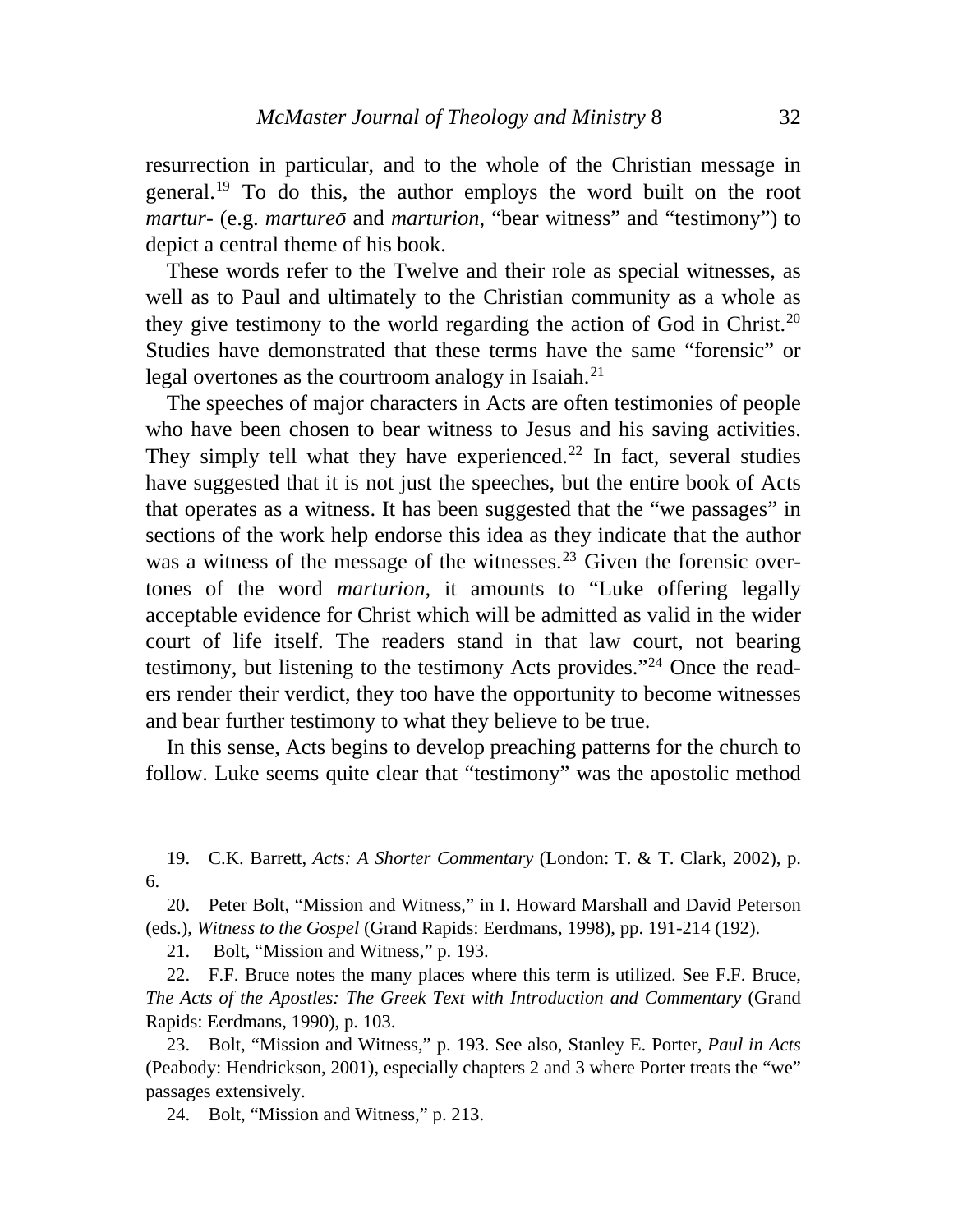resurrection in particular, and to the whole of the Christian message in general.[19](#page-9-0) To do this, the author employs the word built on the root *martur-* (e.g. *martureo* and *marturion*, "bear witness" and "testimony") to depict a central theme of his book.

Studies have demonstrated that these terms have the same "forensic" or These words refer to the Twelve and their role as special witnesses, as well as to Paul and ultimately to the Christian community as a whole as they give testimony to the world regarding the action of God in Christ.<sup>[20](#page-9-1)</sup> legal overtones as the courtroom analogy in Isaiah.<sup>[21](#page-9-2)</sup>

ers render their verdict, they too have the opportunity to become witnesses The speeches of major characters in Acts are often testimonies of people who have been chosen to bear witness to Jesus and his saving activities. They simply tell what they have experienced.<sup>[22](#page-9-3)</sup> In fact, several studies have suggested that it is not just the speeches, but the entire book of Acts that operates as a witness. It has been suggested that the "we passages" in sections of the work help endorse this idea as they indicate that the author was a witness of the message of the witnesses.<sup>[23](#page-9-4)</sup> Given the forensic overtones of the word *marturion,* it amounts to "Luke offering legally acceptable evidence for Christ which will be admitted as valid in the wider court of life itself. The readers stand in that law court, not bearing testimony, but listening to the testimony Acts provides."[24](#page-9-4) Once the readand bear further testimony to what they believe to be true.

 In this sense, Acts begins to develop preaching patterns for the church to follow. Luke seems quite clear that "testimony" was the apostolic method

<span id="page-9-0"></span>9. C.K. Barrett, *Acts: A Shorter Commentary* (London: T. & T. Clark, 2002), p. . 6  $19.$ 

<span id="page-9-1"></span>20. Peter Bolt, "Mission and Witness," in I. Howard Marshall and David Peterson (eds.), *Witness to the Gospel* (Grand Rapids: Eerdmans, 1998), pp. 191-214 (192).

21. Bolt, "Mission and Witness," p. 193.

<span id="page-9-2"></span>The Acts of the Apostles: The Greek Text with Introduction and Commentary (Grand 22. F.F. Bruce notes the many places where this term is utilized. See F.F. Bruce, Rapids: Eerdmans, 1990), p. 103.

<span id="page-9-3"></span>(Peabody: Hendrickson, 2001), especially chapters 2 and 3 where Porter treats the "we" 23. Bolt, "Mission and Witness," p. 193. See also, Stanley E. Porter, *Paul in Acts*  passages extensively.

<span id="page-9-4"></span>24. Bolt, "Mission and Witness," p. 213.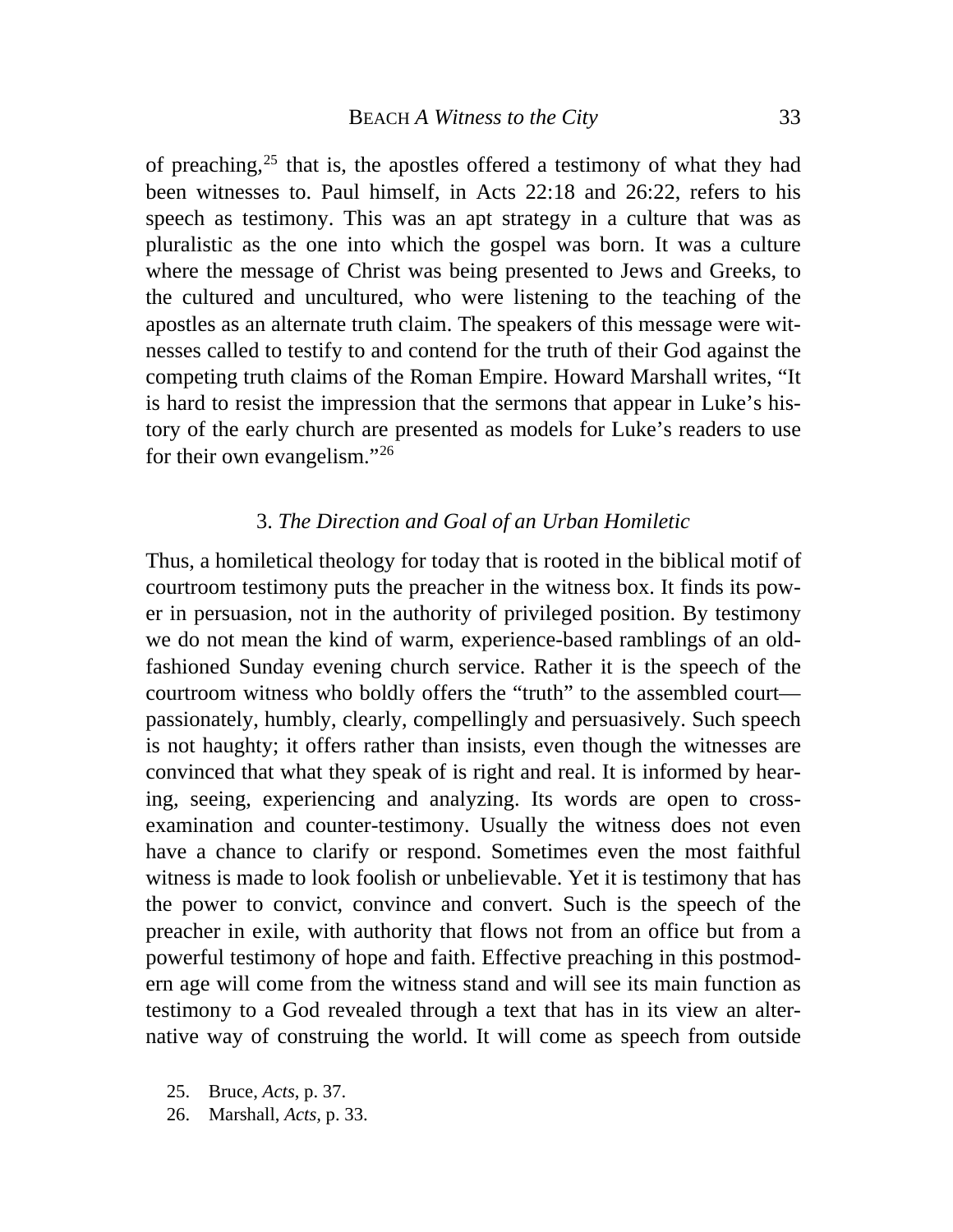tory of the early church are presented as models for Luke's readers to use for their own evangelism."26 of preaching,  $25$  that is, the apostles offered a testimony of what they had been witnesses to. Paul himself, in Acts 22:18 and 26:22, refers to his speech as testimony. This was an apt strategy in a culture that was as pluralistic as the one into which the gospel was born. It was a culture where the message of Christ was being presented to Jews and Greeks, to the cultured and uncultured, who were listening to the teaching of the apostles as an alternate truth claim. The speakers of this message were witnesses called to testify to and contend for the truth of their God against the competing truth claims of the Roman Empire. Howard Marshall writes, "It is hard to resist the impression that the sermons that appear in Luke's his-

### 3. *The Direction and Goal of an Urban Homiletic*

Thus, a homiletical theology for today that is rooted in the biblical motif of courtroom testimony puts the preacher in the witness box. It finds its power in persuasion, not in the authority of privileged position. By testimony we do not mean the kind of warm, experience-based ramblings of an oldfashioned Sunday evening church service. Rather it is the speech of the courtroom witness who boldly offers the "truth" to the assembled court passionately, humbly, clearly, compellingly and persuasively. Such speech is not haughty; it offers rather than insists, even though the witnesses are convinced that what they speak of is right and real. It is informed by hearing, seeing, experiencing and analyzing. Its words are open to crossexamination and counter-testimony. Usually the witness does not even have a chance to clarify or respond. Sometimes even the most faithful witness is made to look foolish or unbelievable. Yet it is testimony that has the power to convict, convince and convert. Such is the speech of the preacher in exile, with authority that flows not from an office but from a powerful testimony of hope and faith. Effective preaching in this postmodern age will come from the witness stand and will see its main function as testimony to a God revealed through a text that has in its view an alternative way of construing the world. It will come as speech from outside

- <span id="page-10-0"></span>25. Bruce, *Acts*, p. 37.
- 26. Marshall, *Acts,* p. 33.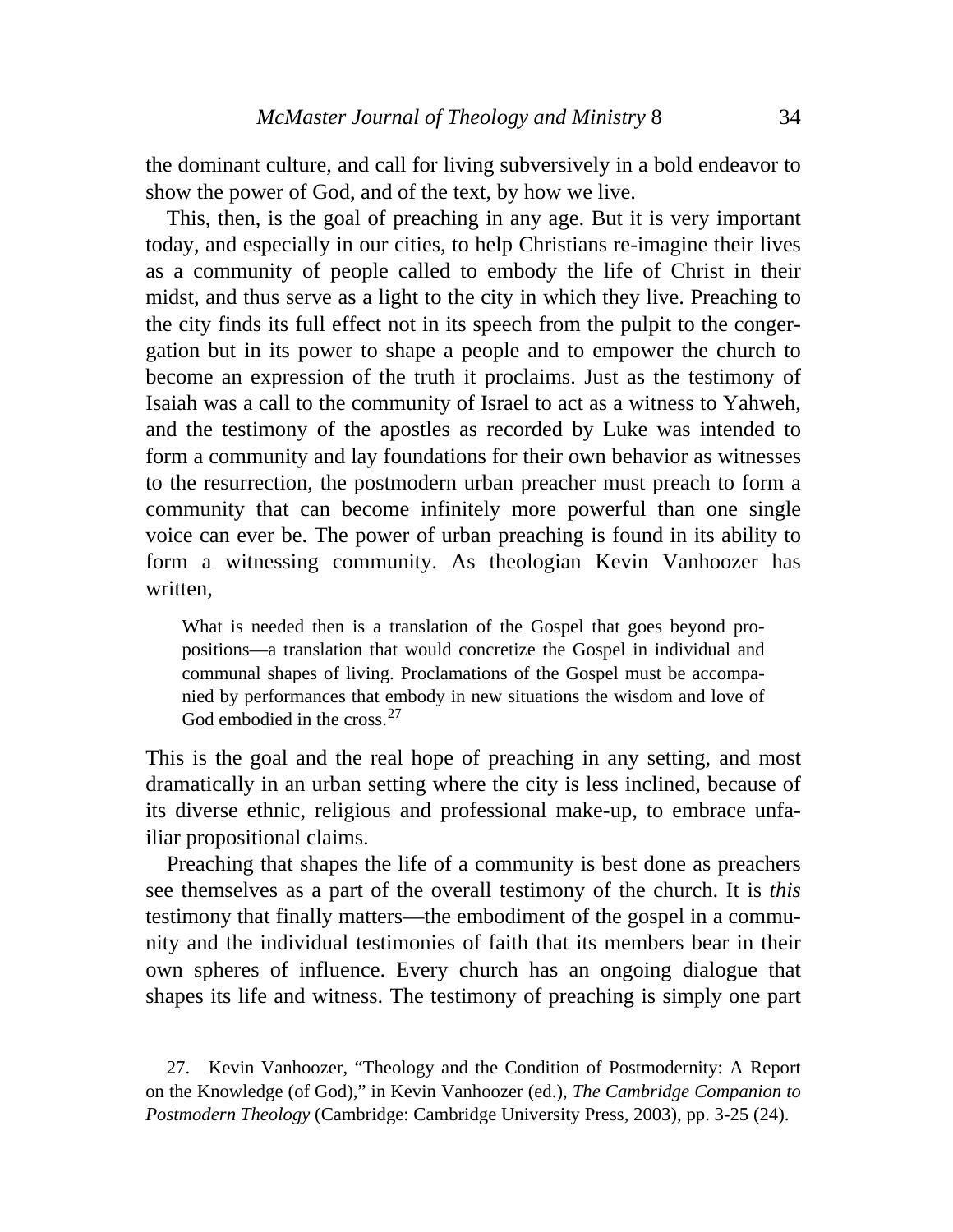the dominant culture, and call for living subversively in a bold endeavor to show the power of God, and of the text, by how we live.

 This, then, is the goal of preaching in any age. But it is very important today, and especially in our cities, to help Christians re-imagine their lives as a community of people called to embody the life of Christ in their midst, and thus serve as a light to the city in which they live. Preaching to the city finds its full effect not in its speech from the pulpit to the congergation but in its power to shape a people and to empower the church to become an expression of the truth it proclaims. Just as the testimony of Isaiah was a call to the community of Israel to act as a witness to Yahweh, and the testimony of the apostles as recorded by Luke was intended to form a community and lay foundations for their own behavior as witnesses to the resurrection, the postmodern urban preacher must preach to form a community that can become infinitely more powerful than one single voice can ever be. The power of urban preaching is found in its ability to form a witnessing community. As theologian Kevin Vanhoozer has writ ten,

communal shapes of living. Proclamations of the Gospel must be accompa-What is needed then is a translation of the Gospel that goes beyond propositions—a translation that would concretize the Gospel in individual and nied by performances that embody in new situations the wisdom and love of God embodied in the cross.<sup>27</sup>

dramatically in an urban setting where the city is less inclined, because of This is the goal and the real hope of preaching in any setting, and most its diverse ethnic, religious and professional make-up, to embrace unfailiar propositional claims.

 Preaching that shapes the life of a community is best done as preachers see themselves as a part of the overall testimony of the church. It is *this*  testimony that finally matters—the embodiment of the gospel in a community and the individual testimonies of faith that its members bear in their own spheres of influence. Every church has an ongoing dialogue that shapes its life and witness. The testimony of preaching is simply one part

 27. Kevin Vanhoozer, "Theology and the Condition of Postmodernity: A Report on the Knowledge (of God)," in Kevin Vanhoozer (ed.), *The Cambridge Companion to Postmodern Theology* (Cambridge: Cambridge University Press, 2003), pp. 3-25 (24).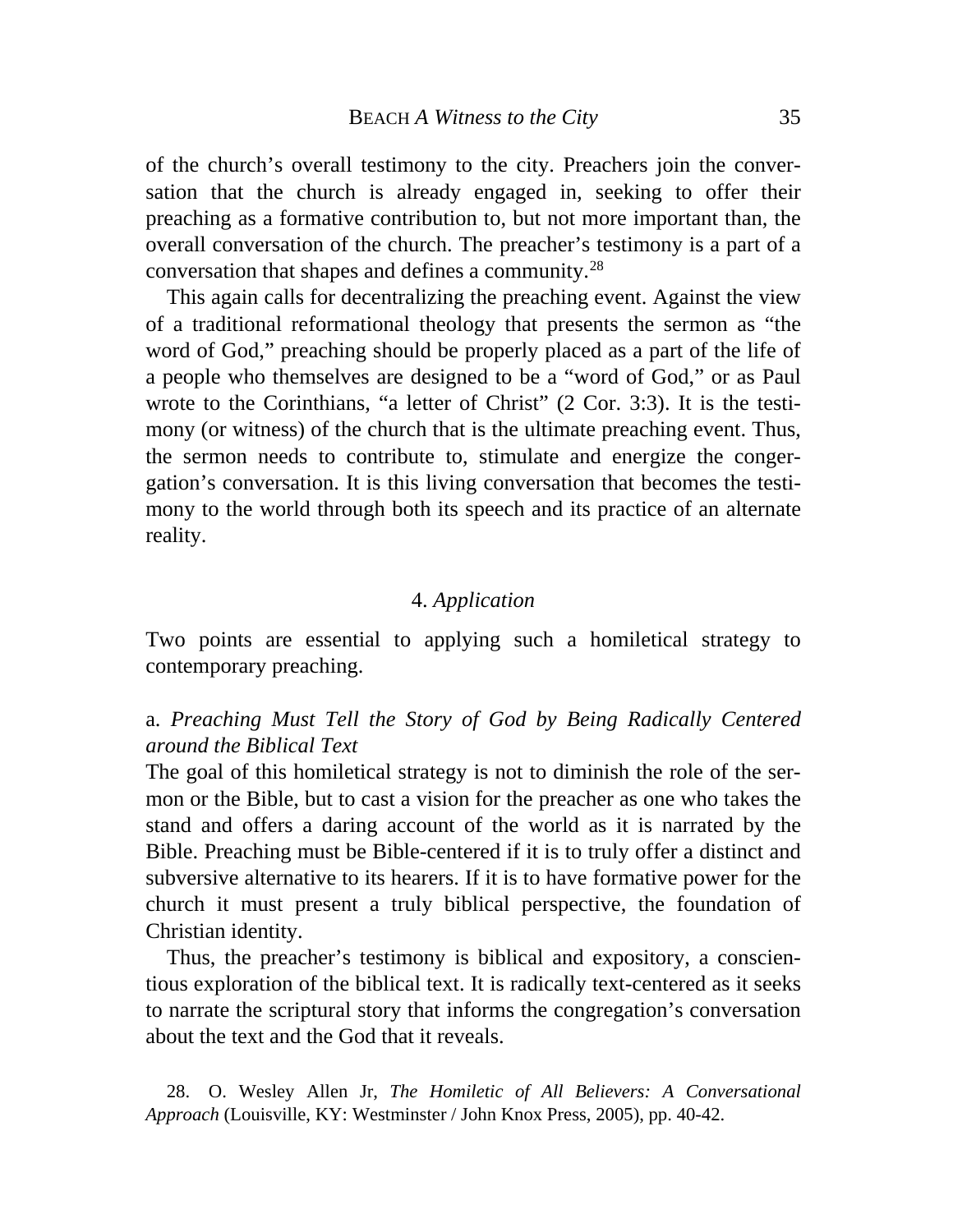preaching as a formative contribution to, but not more important than, the of the church's overall testimony to the city. Preachers join the conversation that the church is already engaged in, seeking to offer their overall conversation of the church. The preacher's testimony is a part of a conversation that shapes and defines a community.28

gation's conversation. It is this living conversation that becomes the testimony to the world through both its speech and its practice of an alternate reality. This again calls for decentralizing the preaching event. Against the view of a traditional reformational theology that presents the sermon as "the word of God," preaching should be properly placed as a part of the life of a people who themselves are designed to be a "word of God," or as Paul wrote to the Corinthians, "a letter of Christ" (2 Cor. 3:3). It is the testimony (or witness) of the church that is the ultimate preaching event. Thus, the sermon needs to contribute to, stimulate and energize the conger-

## 4. *Application*

Two points are essential to applying such a homiletical strategy to contemporary preaching.

# a. *Preaching Must Tell the Story of God by Being Radically Centered around the Biblical Text*

subversive alternative to its hearers. If it is to have formative power for the The goal of this homiletical strategy is not to diminish the role of the sermon or the Bible, but to cast a vision for the preacher as one who takes the stand and offers a daring account of the world as it is narrated by the Bible. Preaching must be Bible-centered if it is to truly offer a distinct and church it must present a truly biblical perspective, the foundation of Christian identity.

tious exploration of the biblical text. It is radically text-centered as it seeks to narrate the scriptural story that informs the congregation's conversation about the text and the God that it reveals. Thus, the preacher's testimony is biblical and expository, a conscien-

 28. O. Wesley Allen Jr, *The Homiletic of All Believers: A Conversational Approach* (Louisville, KY: Westminster / John Knox Press, 2005), pp. 40-42.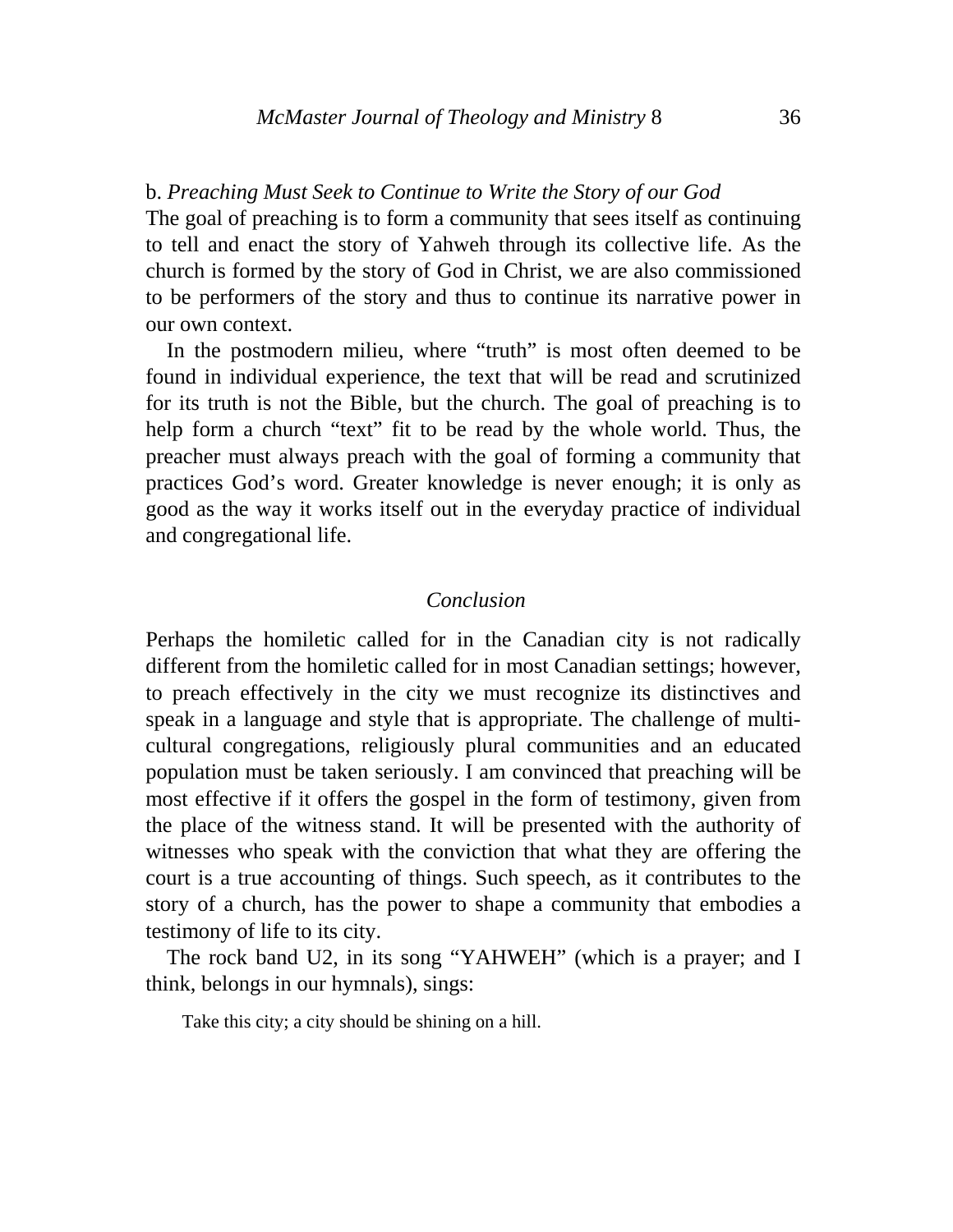## b. *Preaching Must Seek to Continue to Write the Story of our God*

The goal of preaching is to form a community that sees itself as continuing to tell and enact the story of Yahweh through its collective life. As the church is formed by the story of God in Christ, we are also commissioned to be performers of the story and thus to continue its narrative power in our own context.

good as the way it works itself out in the everyday practice of individual and congregational life. In the postmodern milieu, where "truth" is most often deemed to be found in individual experience, the text that will be read and scrutinized for its truth is not the Bible, but the church. The goal of preaching is to help form a church "text" fit to be read by the whole world. Thus, the preacher must always preach with the goal of forming a community that practices God's word. Greater knowledge is never enough; it is only as

## *Conclusion*

story of a church, has the power to shape a community that embodies a Perhaps the homiletic called for in the Canadian city is not radically different from the homiletic called for in most Canadian settings; however, to preach effectively in the city we must recognize its distinctives and speak in a language and style that is appropriate. The challenge of multicultural congregations, religiously plural communities and an educated population must be taken seriously. I am convinced that preaching will be most effective if it offers the gospel in the form of testimony, given from the place of the witness stand. It will be presented with the authority of witnesses who speak with the conviction that what they are offering the court is a true accounting of things. Such speech, as it contributes to the testimony of life to its city.

The rock band U2, in its song "YAHWEH" (which is a prayer; and I thin k, belongs in our hymnals), sings:

Take this city; a city should be shining on a hill.